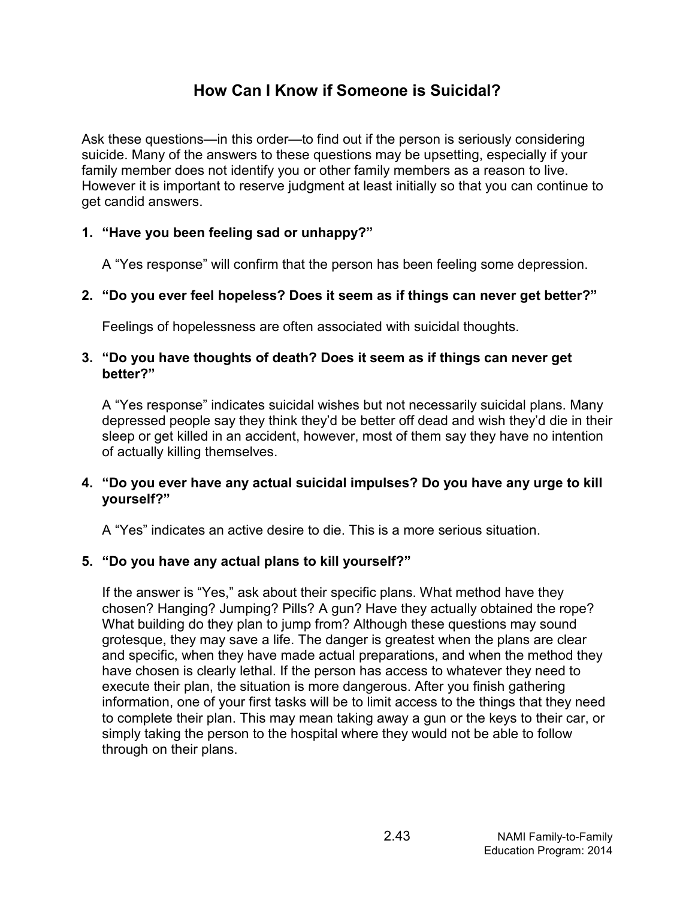## How Can I Know if Someone is Suicidal?

**How Can I Know if Someone is Suicidal?**<br>Ask these questions—in this order—to find out if the person is seriously considering<br>suicide. Many of the answers to these questions may be upsetting, especially if your<br>family memb **How Can I Know if Someone is Suicidal?**<br>Ask these questions—in this order—to find out if the person is seriously considering<br>suicide. Many of the answers to these questions may be upsetting, especially if your<br>family memb family member does not identify you or other family members as a reason to live. However it is important to reserve judgment at least initially so that you can continue to get candid answers. **How Can I Know if Someone is Suicidal?**<br>Ask these questions—in this order—to find out if the person is seriously consic<br>suicide. Many of the answers to these questions may be upsetting, especially<br>family member does not i How Can I Know if Someone is Suicidal?<br>
Ask these questions—in this order—to find out if the person is seriously considering<br>
suicide. Many of the answers to these questions may be upsetting, especially if your<br>
family mem **3.** How Can I Know if Someone is Suicidal?<br>
Ask these questions—in this order—to find out if the person is seriously considering<br>
suicide. Many of the answers to these questions may be upsetting, especially if your<br>
famil these questions—in this order—to find out if the person is seriously considering<br>cide. Many of the answers to these questions may be upsetting, especially if your<br>illy member does not identify you or other family members a

A "Yes response" will confirm that the person has been feeling some depression.

Feelings of hopelessness are often associated with suicidal thoughts.

# better?"

depressed people say they think they'd be better off dead and wish they'd die in their sleep or get killed in an accident, however, most of them say they have no intention of actually killing themselves. The wever has mippotaint of esserte judgment at least inhany so that you can continue to<br>
4. "Have you been feeling sad or unhappy?"<br>
4. "Yes response" will confirm that the person has been feeling some depression.<br>
2. "Do The version is every indicate and of antiappy is<br>
"Do you ever feel hopeless? Does it seem as if things can never get better?"<br>
Feelings of hopelessness are often associated with suicidal thoughts.<br>
"Do you have thoughts o The state of hopelessing and the person ras been reeming some depression.<br>
2. "Do you ever feel hopelessness are often associated with suicidal thoughts.<br>
3. "Do you have thoughts of death? Does it seem as if things can ne

# yourself?"

If the answer is "Yes," ask about their specific plans. What method have their specific, when they plan as in things can never get better?<br>
"Do you have thoughts of death? Does it seem as if things can never get<br>
better?" chosen? Hanging? Jumping? Pills? A gun? Have they actually obtained the rope? realings of hoperessiess are other associated with stitution thoughts.<br>
"Do you have thoughts of death? Does it seem as if things can never get<br>
better?"<br>
A "Yes response" indicates suicidal wishes but not necessarily suic grotesque, they may save a life. The danger is greatest when the plans are clear better?"<br>
better?"<br>
A "Yes response" indicates suicidal wishes but not necessarily suicidal plans. Many<br>
depressed people say they think they'd be better off dead and wish they'd die in their<br>
sleep or get killed in an acc better internal deproses incided wishes but not necessarily suicidal plans. Many<br>A "Yes response" indicates suicidal wishes but not necessarily suicidal plans. Many<br>depressed people say they think they'd be better off dead A "Yes response" indicates suicidal wishes but not necessarily suicidal plans. Many<br>depressed people say they think they'd be better off dead and wish they'd die in their<br>sleep or get killed in an accident, however, most o information, one of your first tasks will be to limit access to the things that they need delep or get be say any trains are your to use their or useal and wash treey or get killed in an accident, however, most of them say they have no intention of actually killing themselves.<br>"Do you ever have any actual suici simply taking the person to the hospital where they would not be able to follow or actually whiring the state and suicidal impulses? Do you have any urge to yourself?"<br>
"Do you ever have any actual suicidal impulses? Do you have any urge to<br>
yourself?"<br>
A "Yes" indicates an active desire to die. This